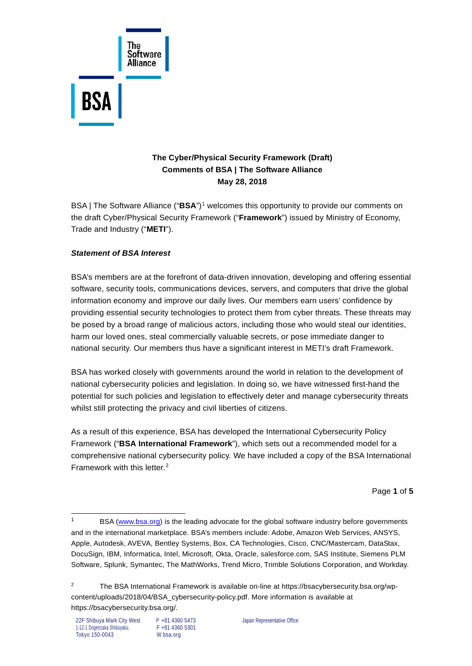

# **The Cyber/Physical Security Framework (Draft) Comments of BSA | The Software Alliance May 28, 2018**

BSA | The Software Alliance ("**BSA**")[1](#page-0-0) welcomes this opportunity to provide our comments on the draft Cyber/Physical Security Framework ("**Framework**") issued by Ministry of Economy, Trade and Industry ("**METI**").

## *Statement of BSA Interest*

BSA's members are at the forefront of data-driven innovation, developing and offering essential software, security tools, communications devices, servers, and computers that drive the global information economy and improve our daily lives. Our members earn users' confidence by providing essential security technologies to protect them from cyber threats. These threats may be posed by a broad range of malicious actors, including those who would steal our identities, harm our loved ones, steal commercially valuable secrets, or pose immediate danger to national security. Our members thus have a significant interest in METI's draft Framework.

BSA has worked closely with governments around the world in relation to the development of national cybersecurity policies and legislation. In doing so, we have witnessed first-hand the potential for such policies and legislation to effectively deter and manage cybersecurity threats whilst still protecting the privacy and civil liberties of citizens.

As a result of this experience, BSA has developed the International Cybersecurity Policy Framework ("**BSA International Framework**"), which sets out a recommended model for a comprehensive national cybersecurity policy. We have included a copy of the BSA International Framework with this letter.[2](#page-0-1)

Page **1** of **5**

<span id="page-0-0"></span> <sup>1</sup> BSA [\(www.bsa.org\)](http://www.bsa.org/) is the leading advocate for the global software industry before governments and in the international marketplace. BSA's members include: Adobe, Amazon Web Services, ANSYS, Apple, Autodesk, AVEVA, Bentley Systems, Box, CA Technologies, Cisco, CNC/Mastercam, DataStax, DocuSign, IBM, Informatica, Intel, Microsoft, Okta, Oracle, salesforce.com, SAS Institute, Siemens PLM Software, Splunk, Symantec, The MathWorks, Trend Micro, Trimble Solutions Corporation, and Workday.

<span id="page-0-1"></span><sup>&</sup>lt;sup>2</sup> The BSA International Framework is available on-line at [https://bsacybersecurity.bsa.org/wp](https://bsacybersecurity.bsa.org/wp-content/uploads/2018/04/BSA_cybersecurity-policy.pdf)[content/uploads/2018/04/BSA\\_cybersecurity-policy.pdf.](https://bsacybersecurity.bsa.org/wp-content/uploads/2018/04/BSA_cybersecurity-policy.pdf) More information is available at [https://bsacybersecurity.bsa.org/.](https://bsacybersecurity.bsa.org/)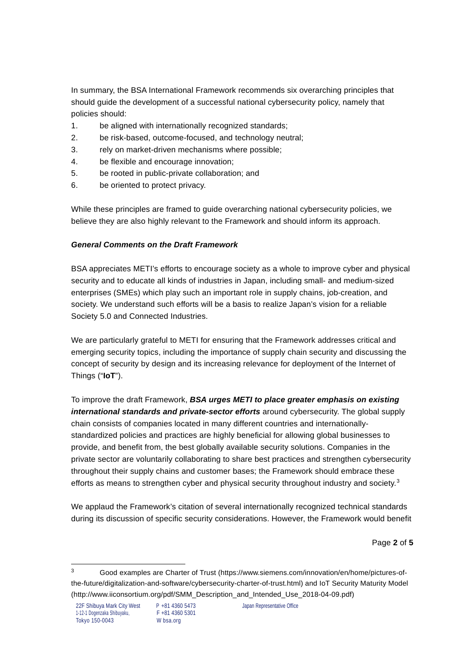In summary, the BSA International Framework recommends six overarching principles that should guide the development of a successful national cybersecurity policy, namely that policies should:

- 1. be aligned with internationally recognized standards;
- 2. be risk-based, outcome-focused, and technology neutral;
- 3. rely on market-driven mechanisms where possible;
- 4. be flexible and encourage innovation;
- 5. be rooted in public-private collaboration; and
- 6. be oriented to protect privacy.

While these principles are framed to guide overarching national cybersecurity policies, we believe they are also highly relevant to the Framework and should inform its approach.

## *General Comments on the Draft Framework*

BSA appreciates METI's efforts to encourage society as a whole to improve cyber and physical security and to educate all kinds of industries in Japan, including small- and medium-sized enterprises (SMEs) which play such an important role in supply chains, job-creation, and society. We understand such efforts will be a basis to realize Japan's vision for a reliable Society 5.0 and Connected Industries.

We are particularly grateful to METI for ensuring that the Framework addresses critical and emerging security topics, including the importance of supply chain security and discussing the concept of security by design and its increasing relevance for deployment of the Internet of Things ("**IoT**").

To improve the draft Framework, *BSA urges METI to place greater emphasis on existing international standards and private-sector efforts* around cybersecurity. The global supply chain consists of companies located in many different countries and internationallystandardized policies and practices are highly beneficial for allowing global businesses to provide, and benefit from, the best globally available security solutions. Companies in the private sector are voluntarily collaborating to share best practices and strengthen cybersecurity throughout their supply chains and customer bases; the Framework should embrace these efforts as means to strengthen cyber and physical security throughout industry and society. $3$ 

We applaud the Framework's citation of several internationally recognized technical standards during its discussion of specific security considerations. However, the Framework would benefit

Page **2** of **5**

<span id="page-1-0"></span> <sup>3</sup> Good examples are Charter of Trust [\(https://www.siemens.com/innovation/en/home/pictures-of](https://www.siemens.com/innovation/en/home/pictures-of-the-future/digitalization-and-software/cybersecurity-charter-of-trust.html)[the-future/digitalization-and-software/cybersecurity-charter-of-trust.html\)](https://www.siemens.com/innovation/en/home/pictures-of-the-future/digitalization-and-software/cybersecurity-charter-of-trust.html) and IoT Security Maturity Model [\(http://www.iiconsortium.org/pdf/SMM\\_Description\\_and\\_Intended\\_Use\\_2018-04-09.pdf\)](http://www.iiconsortium.org/pdf/SMM_Description_and_Intended_Use_2018-04-09.pdf)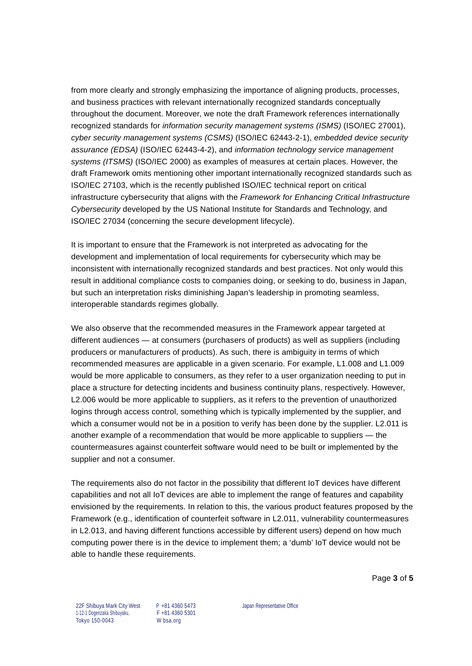from more clearly and strongly emphasizing the importance of aligning products, processes, and business practices with relevant internationally recognized standards conceptually throughout the document. Moreover, we note the draft Framework references internationally recognized standards for *information security management systems (ISMS)* (ISO/IEC 27001), *cyber security management systems (CSMS)* (ISO/IEC 62443-2-1), *embedded device security assurance (EDSA)* (ISO/IEC 62443-4-2), and *information technology service management systems (ITSMS)* (ISO/IEC 2000) as examples of measures at certain places. However, the draft Framework omits mentioning other important internationally recognized standards such as ISO/IEC 27103, which is the recently published ISO/IEC technical report on critical infrastructure cybersecurity that aligns with the *Framework for Enhancing Critical Infrastructure Cybersecurity* developed by the US National Institute for Standards and Technology, and ISO/IEC 27034 (concerning the secure development lifecycle).

It is important to ensure that the Framework is not interpreted as advocating for the development and implementation of local requirements for cybersecurity which may be inconsistent with internationally recognized standards and best practices. Not only would this result in additional compliance costs to companies doing, or seeking to do, business in Japan, but such an interpretation risks diminishing Japan's leadership in promoting seamless, interoperable standards regimes globally.

We also observe that the recommended measures in the Framework appear targeted at different audiences — at consumers (purchasers of products) as well as suppliers (including producers or manufacturers of products). As such, there is ambiguity in terms of which recommended measures are applicable in a given scenario. For example, L1.008 and L1.009 would be more applicable to consumers, as they refer to a user organization needing to put in place a structure for detecting incidents and business continuity plans, respectively. However, L2.006 would be more applicable to suppliers, as it refers to the prevention of unauthorized logins through access control, something which is typically implemented by the supplier, and which a consumer would not be in a position to verify has been done by the supplier. L2.011 is another example of a recommendation that would be more applicable to suppliers — the countermeasures against counterfeit software would need to be built or implemented by the supplier and not a consumer.

The requirements also do not factor in the possibility that different IoT devices have different capabilities and not all IoT devices are able to implement the range of features and capability envisioned by the requirements. In relation to this, the various product features proposed by the Framework (e.g., identification of counterfeit software in L2.011, vulnerability countermeasures in L2.013, and having different functions accessible by different users) depend on how much computing power there is in the device to implement them; a 'dumb' IoT device would not be able to handle these requirements.

Page **3** of **5**

22F Shibuya Mark City West P +81 4360 5473 Japan Representative Office<br>1-12-1 Dogenzaka Shibuyaku. F +81 4360 5301 1-12-1 Dogenzaka Shibuyaku, Tokyo 150-0043 W bsa.org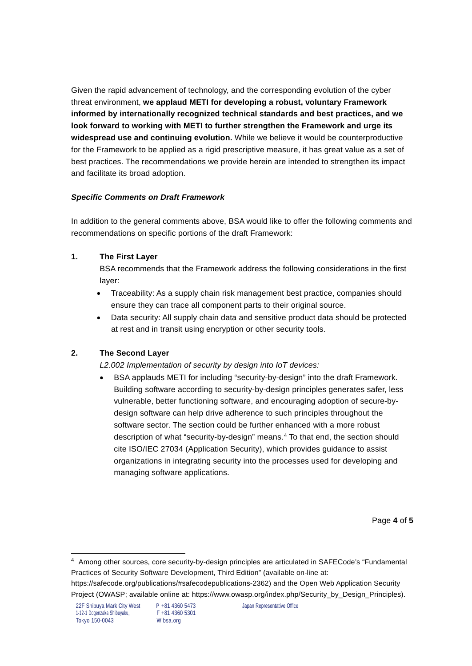Given the rapid advancement of technology, and the corresponding evolution of the cyber threat environment, **we applaud METI for developing a robust, voluntary Framework informed by internationally recognized technical standards and best practices, and we look forward to working with METI to further strengthen the Framework and urge its widespread use and continuing evolution.** While we believe it would be counterproductive for the Framework to be applied as a rigid prescriptive measure, it has great value as a set of best practices. The recommendations we provide herein are intended to strengthen its impact and facilitate its broad adoption.

#### *Specific Comments on Draft Framework*

In addition to the general comments above, BSA would like to offer the following comments and recommendations on specific portions of the draft Framework:

## **1. The First Layer**

BSA recommends that the Framework address the following considerations in the first layer:

- Traceability: As a supply chain risk management best practice, companies should ensure they can trace all component parts to their original source.
- Data security: All supply chain data and sensitive product data should be protected at rest and in transit using encryption or other security tools.

## **2. The Second Layer**

*L2.002 Implementation of security by design into IoT devices:*

• BSA applauds METI for including "security-by-design" into the draft Framework. Building software according to security-by-design principles generates safer, less vulnerable, better functioning software, and encouraging adoption of secure-bydesign software can help drive adherence to such principles throughout the software sector. The section could be further enhanced with a more robust description of what "security-by-design" means.[4](#page-3-0) To that end, the section should cite ISO/IEC 27034 (Application Security), which provides guidance to assist organizations in integrating security into the processes used for developing and managing software applications.

Page **4** of **5**

<span id="page-3-0"></span><sup>4</sup> Among other sources, core security-by-design principles are articulated in SAFECode's "Fundamental Practices of Security Software Development, Third Edition" (available on-line at: [https://safecode.org/publications/#safecodepublications-2362\)](https://safecode.org/publications/#safecodepublications-2362) and the Open Web Application Security Project (OWASP; available online at: [https://www.owasp.org/index.php/Security\\_by\\_Design\\_Principles\)](https://www.owasp.org/index.php/Security_by_Design_Principles).